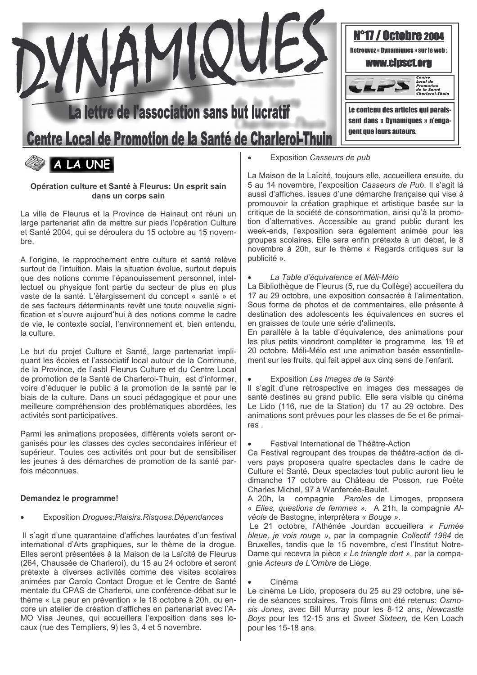



## Opération culture et Santé à Fleurus: Un esprit sain dans un corps sain

La ville de Fleurus et la Province de Hainaut ont réuni un large partenariat afin de mettre sur pieds l'opération Culture et Santé 2004, qui se déroulera du 15 octobre au 15 novembre.

A l'origine, le rapprochement entre culture et santé relève surtout de l'intuition. Mais la situation évolue, surtout depuis que des notions comme l'épanouissement personnel, intellectuel ou physique font partie du secteur de plus en plus vaste de la santé. L'élargissement du concept « santé » et de ses facteurs déterminants revêt une toute nouvelle signification et s'ouvre aujourd'hui à des notions comme le cadre de vie. le contexte social, l'environnement et, bien entendu. la culture.

Le but du proiet Culture et Santé, large partenariat impliquant les écoles et l'associatif local autour de la Commune. de la Province, de l'asbl Fleurus Culture et du Centre Local de promotion de la Santé de Charleroi-Thuin, est d'informer, voire d'éduquer le public à la promotion de la santé par le biais de la culture. Dans un souci pédagogique et pour une meilleure compréhension des problématiques abordées, les activités sont participatives.

Parmi les animations proposées, différents volets seront organisés pour les classes des cycles secondaires inférieur et supérieur. Toutes ces activités ont pour but de sensibiliser les jeunes à des démarches de promotion de la santé parfois méconnues

# Demandez le programme!

# Exposition Drogues: Plaisirs. Risques. Dépendances

Il s'agit d'une quarantaine d'affiches lauréates d'un festival international d'Arts graphiques, sur le thème de la droque. Elles seront présentées à la Maison de la Laïcité de Fleurus (264, Chaussée de Charleroi), du 15 au 24 octobre et seront prétexte à diverses activités comme des visites scolaires animées par Carolo Contact Droque et le Centre de Santé mentale du CPAS de Charleroi, une conférence-débat sur le thème « La peur en prévention » le 18 octobre à 20h, ou encore un atelier de création d'affiches en partenariat avec l'A-MO Visa Jeunes, qui accueillera l'exposition dans ses locaux (rue des Templiers, 9) les 3, 4 et 5 novembre.

Exposition Casseurs de pub

La Maison de la Laïcité, toujours elle, accueillera ensuite, du 5 au 14 novembre, l'exposition Casseurs de Pub. Il s'agit là aussi d'affiches, issues d'une démarche française qui vise à promouvoir la création graphique et artistique basée sur la critique de la société de consommation, ainsi qu'à la promotion d'alternatives. Accessible au grand public durant les week-ends, l'exposition sera également animée pour les groupes scolaires. Elle sera enfin prétexte à un débat, le 8 novembre à 20h, sur le thème « Regards critiques sur la publicité ».

La Table d'équivalence et Méli-Mélo

La Bibliothèque de Fleurus (5, rue du Collège) accueillera du 17 au 29 octobre, une exposition consacrée à l'alimentation. Sous forme de photos et de commentaires, elle présente à destination des adolescents les équivalences en sucres et en graisses de toute une série d'aliments.

En parallèle à la table d'équivalence, des animations pour les plus petits viendront compléter le programme les 19 et 20 octobre. Méli-Mélo est une animation basée essentiellement sur les fruits, qui fait appel aux cing sens de l'enfant.

Exposition Les Images de la Santé

Il s'agit d'une rétrospective en images des messages de santé destinés au grand public. Elle sera visible qu cinéma Le Lido (116, rue de la Station) du 17 au 29 octobre. Des animations sont prévues pour les classes de 5e et 6e primaires.

Festival International de Théâtre-Action

Ce Festival regroupant des troupes de théâtre-action de divers pays proposera quatre spectacles dans le cadre de Culture et Santé. Deux spectacles tout public auront lieu le dimanche 17 octobre au Château de Posson, rue Poète Charles Michel, 97 à Wanfercée-Baulet.

A 20h. la compagnie Paroles de Limoges, proposera « Elles, questions de femmes ». A 21h, la compagnie Alvéole de Bastogne, interprétera « Bouge ».

Le 21 octobre. l'Athénée Jourdan accueillera « Fumée bleue, je vois rouge », par la compagnie Collectif 1984 de Bruxelles, tandis que le 15 novembre, c'est l'Institut Notre-Dame qui recevra la pièce « Le triangle dort », par la compaquie Acteurs de L'Ombre de Liège.

Cinéma

Le cinéma Le Lido, proposera du 25 au 29 octobre, une série de séances scolaires. Trois films ont été retenus: Osmosis Jones, avec Bill Murray pour les 8-12 ans, Newcastle Boys pour les 12-15 ans et Sweet Sixteen, de Ken Loach pour les 15-18 ans.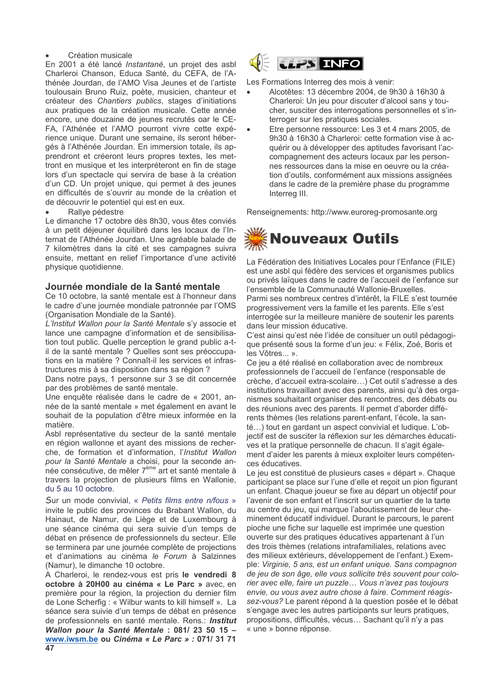### Création musicale

En 2001 a été lancé Instantané, un projet des asbl Charleroi Chanson, Educa Santé, du CEFA, de l'Athénée Jourdan, de l'AMO Visa Jeunes et de l'artiste toulousain Bruno Ruiz, poète, musicien, chanteur et créateur des Chantiers publics, stages d'initiations aux pratiques de la création musicale. Cette année encore, une douzaine de jeunes recrutés oar le CE-FA, l'Athénée et l'AMO pourront vivre cette expérience unique. Durant une semaine, ils seront hébergés à l'Athénée Jourdan. En immersion totale, ils apprendront et créeront leurs propres textes, les mettront en musique et les interpréteront en fin de stage lors d'un spectacle qui servira de base à la création d'un CD. Un projet unique, qui permet à des jeunes en difficultés de s'ouvrir au monde de la création et de découvrir le potentiel qui est en eux.

#### Rallye pédestre

Le dimanche 17 octobre dès 8h30, vous êtes conviés à un petit déjeuner équilibré dans les locaux de l'Internat de l'Athénée Jourdan. Une agréable balade de 7 kilomètres dans la cité et ses campagnes suivra ensuite, mettant en relief l'importance d'une activité physique quotidienne.

# Journée mondiale de la Santé mentale

Ce 10 octobre, la santé mentale est à l'honneur dans le cadre d'une journée mondiale patronnée par l'OMS (Organisation Mondiale de la Santé).

L'Institut Wallon pour la Santé Mentale s'y associe et lance une campagne d'information et de sensibilisation tout public. Quelle perception le grand public a-til de la santé mentale ? Quelles sont ses préoccupations en la matière ? Connaît-il les services et infrastructures mis à sa disposition dans sa région ?

Dans notre pays, 1 personne sur 3 se dit concernée par des problèmes de santé mentale.

Une enquête réalisée dans le cadre de « 2001, année de la santé mentale » met également en avant le souhait de la population d'être mieux informée en la matière.

Asbl représentative du secteur de la santé mentale en région wallonne et ayant des missions de recherche, de formation et d'information, l'Institut Wallon pour la Santé Mentale a choisi, pour la seconde année consécutive, de mêler 7<sup>ème</sup> art et santé mentale à travers la projection de plusieurs films en Wallonie, du 5 au 10 octobre.

Sur un mode convivial, « Petits films entre n/fous » invite le public des provinces du Brabant Wallon, du Hainaut, de Namur, de Liège et de Luxembourg à une séance cinéma qui sera suivie d'un temps de débat en présence de professionnels du secteur. Elle se terminera par une journée complète de projections et d'animations au cinéma le Forum à Salzinnes (Namur), le dimanche 10 octobre.

A Charleroi, le rendez-vous est pris le vendredi 8 octobre à 20H00 au cinéma « Le Parc » avec. en première pour la région, la projection du dernier film de Lone Scherfig: « Wilbur wants to kill himself ». La séance sera suivie d'un temps de débat en présence de professionnels en santé mentale. Rens.: Institut Wallon pour la Santé Mentale : 081/23 50 15 www.iwsm.be ou Cinéma « Le Parc » : 071/ 31 71  $47$ 



Les Formations Interreg des mois à venir:

- Alcotêtes: 13 décembre 2004, de 9h30 à 16h30 à Charleroi: Un jeu pour discuter d'alcool sans y toucher, susciter des interrogations personnelles et s'interroger sur les pratiques sociales.
- Etre personne ressource: Les 3 et 4 mars 2005, de 9h30 à 16h30 à Charleroi: cette formation vise à acquérir ou à développer des aptitudes favorisant l'accompagnement des acteurs locaux par les personnes ressources dans la mise en oeuvre ou la création d'outils, conformément aux missions assignées dans le cadre de la première phase du programme Interreg III.

Renseignements: http://www.euroreg-promosante.org

# **Nouveaux Outils**

La Fédération des Initiatives Locales pour l'Enfance (FILE) est une asbl qui fédère des services et organismes publics ou privés laïgues dans le cadre de l'accueil de l'enfance sur l'ensemble de la Communauté Wallonie-Bruxelles.

Parmi ses nombreux centres d'intérêt. la FILE s'est tournée progressivement vers la famille et les parents. Elle s'est interrogée sur la meilleure manière de soutenir les parents dans leur mission éducative.

C'est ainsi qu'est née l'idée de consituer un outil pédagogique présenté sous la forme d'un jeu: « Félix, Zoé, Boris et les Vôtres... ».

Ce jeu a été réalisé en collaboration avec de nombreux professionnels de l'accueil de l'enfance (responsable de crèche, d'accueil extra-scolaire...) Cet outil s'adresse a des institutions travaillant avec des parents, ainsi qu'à des organismes souhaitant organiser des rencontres, des débats ou des réunions avec des parents. Il permet d'aborder différents thèmes (les relations parent-enfant, l'école, la santé...) tout en gardant un aspect convivial et ludique. L'objectif est de susciter la réflexion sur les démarches éducatives et la pratique personnelle de chacun. Il s'agit également d'aider les parents à mieux exploiter leurs compétences éducatives.

Le jeu est constitué de plusieurs cases « départ ». Chaque participant se place sur l'une d'elle et reçoit un pion figurant un enfant. Chaque joueur se fixe au départ un objectif pour l'avenir de son enfant et l'inscrit sur un quartier de la tarte au centre du jeu, qui marque l'aboutissement de leur cheminement éducatif individuel. Durant le parcours, le parent pioche une fiche sur laquelle est imprimée une question ouverte sur des pratiques éducatives appartenant à l'un des trois thèmes (relations intrafamiliales, relations avec des milieux extérieurs, développement de l'enfant.) Exemple: Virginie, 5 ans, est un enfant unique. Sans compagnon de jeu de son âge, elle vous sollicite très souvent pour colorier avec elle, faire un puzzle... Vous n'avez pas toujours envie, ou vous avez autre chose à faire. Comment réagissez-vous? Le parent répond à la question posée et le débat s'engage avec les autres participants sur leurs pratiques, propositions, difficultés, vécus... Sachant qu'il n'y a pas « une » bonne réponse.